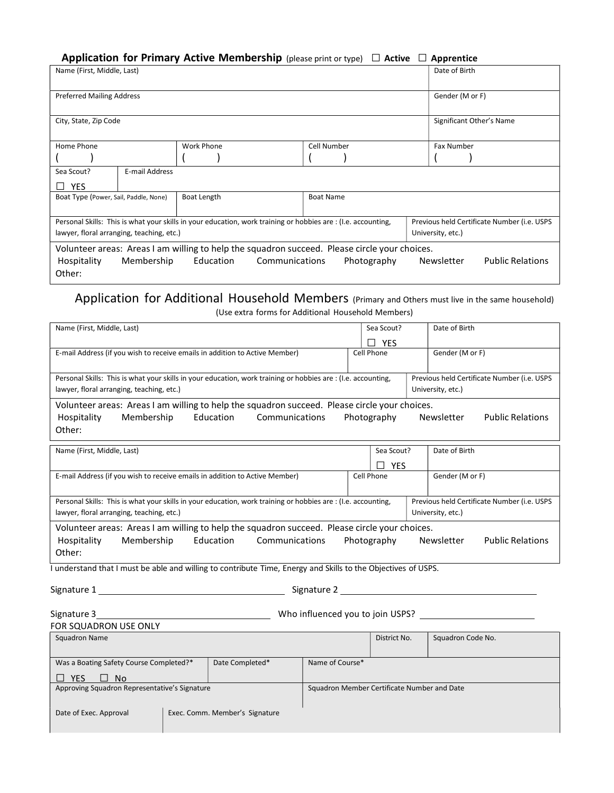### Application for Primary Active Membership (please print or type)  $\Box$  Active  $\Box$  Apprentice

| Name (First, Middle, Last)                                                                                                                                                                                        |                |                    |  |                  |  | Date of Birth     |                                             |
|-------------------------------------------------------------------------------------------------------------------------------------------------------------------------------------------------------------------|----------------|--------------------|--|------------------|--|-------------------|---------------------------------------------|
| <b>Preferred Mailing Address</b>                                                                                                                                                                                  |                |                    |  |                  |  | Gender (M or F)   |                                             |
| City, State, Zip Code                                                                                                                                                                                             |                |                    |  |                  |  |                   | Significant Other's Name                    |
| Home Phone                                                                                                                                                                                                        |                | <b>Work Phone</b>  |  | Cell Number      |  | <b>Fax Number</b> |                                             |
|                                                                                                                                                                                                                   |                |                    |  |                  |  |                   |                                             |
| Sea Scout?<br><b>YES</b><br>n l                                                                                                                                                                                   | E-mail Address |                    |  |                  |  |                   |                                             |
| Boat Type (Power, Sail, Paddle, None)                                                                                                                                                                             |                | <b>Boat Length</b> |  | <b>Boat Name</b> |  |                   |                                             |
| Personal Skills: This is what your skills in your education, work training or hobbies are: (I.e. accounting,<br>lawyer, floral arranging, teaching, etc.)                                                         |                |                    |  |                  |  | University, etc.) | Previous held Certificate Number (i.e. USPS |
| Volunteer areas: Areas I am willing to help the squadron succeed. Please circle your choices.<br>Hospitality<br>Membership<br>Education<br>Communications<br>Photography<br>Newsletter<br><b>Public Relations</b> |                |                    |  |                  |  |                   |                                             |
| Other:                                                                                                                                                                                                            |                |                    |  |                  |  |                   |                                             |

#### Application for Additional Household Members (Primary and Others must live in the same household) (Use extra forms for Additional Household Members)

| Name (First, Middle, Last)                                                                                                                                                                                        | Sea Scout?                                                       | Date of Birth                               |  |  |  |  |  |
|-------------------------------------------------------------------------------------------------------------------------------------------------------------------------------------------------------------------|------------------------------------------------------------------|---------------------------------------------|--|--|--|--|--|
|                                                                                                                                                                                                                   | <b>YES</b>                                                       |                                             |  |  |  |  |  |
| E-mail Address (if you wish to receive emails in addition to Active Member)                                                                                                                                       | Cell Phone                                                       | Gender (M or F)                             |  |  |  |  |  |
| Personal Skills: This is what your skills in your education, work training or hobbies are : (I.e. accounting,                                                                                                     |                                                                  | Previous held Certificate Number (i.e. USPS |  |  |  |  |  |
| lawyer, floral arranging, teaching, etc.)                                                                                                                                                                         | University, etc.)                                                |                                             |  |  |  |  |  |
| Volunteer areas: Areas I am willing to help the squadron succeed. Please circle your choices.                                                                                                                     |                                                                  |                                             |  |  |  |  |  |
| Membership<br>Education<br>Communications<br>Hospitality                                                                                                                                                          | Photography                                                      | Newsletter<br><b>Public Relations</b>       |  |  |  |  |  |
| Other:                                                                                                                                                                                                            |                                                                  |                                             |  |  |  |  |  |
| Name (First, Middle, Last)                                                                                                                                                                                        | Sea Scout?                                                       | Date of Birth                               |  |  |  |  |  |
|                                                                                                                                                                                                                   | <b>YES</b>                                                       |                                             |  |  |  |  |  |
| E-mail Address (if you wish to receive emails in addition to Active Member)                                                                                                                                       | Cell Phone                                                       | Gender (M or F)                             |  |  |  |  |  |
|                                                                                                                                                                                                                   |                                                                  |                                             |  |  |  |  |  |
| Personal Skills: This is what your skills in your education, work training or hobbies are : (I.e. accounting,<br>lawyer, floral arranging, teaching, etc.)                                                        | Previous held Certificate Number (i.e. USPS<br>University, etc.) |                                             |  |  |  |  |  |
|                                                                                                                                                                                                                   |                                                                  |                                             |  |  |  |  |  |
| Volunteer areas: Areas I am willing to help the squadron succeed. Please circle your choices.<br>Membership<br>Education<br>Communications<br>Photography<br>Newsletter<br><b>Public Relations</b><br>Hospitality |                                                                  |                                             |  |  |  |  |  |
| Other:                                                                                                                                                                                                            |                                                                  |                                             |  |  |  |  |  |
| I understand that I must be able and willing to contribute Time, Energy and Skills to the Objectives of USPS.                                                                                                     |                                                                  |                                             |  |  |  |  |  |
|                                                                                                                                                                                                                   |                                                                  |                                             |  |  |  |  |  |
|                                                                                                                                                                                                                   |                                                                  |                                             |  |  |  |  |  |
|                                                                                                                                                                                                                   |                                                                  |                                             |  |  |  |  |  |
| FOR SQUADRON USE ONLY                                                                                                                                                                                             |                                                                  |                                             |  |  |  |  |  |
| <b>Squadron Name</b>                                                                                                                                                                                              | District No.                                                     | Squadron Code No.                           |  |  |  |  |  |
|                                                                                                                                                                                                                   |                                                                  |                                             |  |  |  |  |  |
| Date Completed*<br>Was a Boating Safety Course Completed?*                                                                                                                                                        | Name of Course*                                                  |                                             |  |  |  |  |  |
| <b>YES</b><br>$\Box$<br><b>No</b>                                                                                                                                                                                 |                                                                  |                                             |  |  |  |  |  |
| Approving Squadron Representative's Signature                                                                                                                                                                     | Squadron Member Certificate Number and Date                      |                                             |  |  |  |  |  |
| Date of Exec. Approval<br>Exec. Comm. Member's Signature                                                                                                                                                          |                                                                  |                                             |  |  |  |  |  |
|                                                                                                                                                                                                                   |                                                                  |                                             |  |  |  |  |  |
|                                                                                                                                                                                                                   |                                                                  |                                             |  |  |  |  |  |